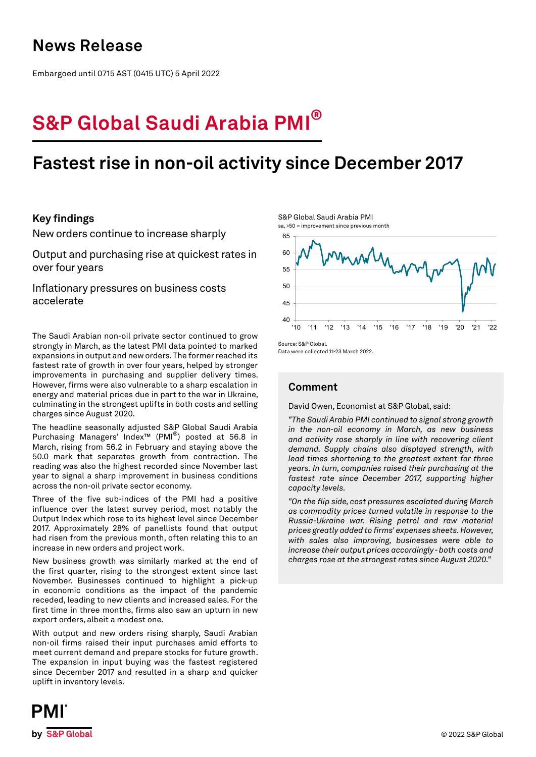## **News Release**

Embargoed until 0715 AST (0415 UTC) 5 April 2022

# **S&P Global Saudi Arabia PMI®**

## **Fastest rise in non-oil activity since December 2017**

## **Key findings**

New orders continue to increase sharply

Output and purchasing rise at quickest rates in over four years

Inflationary pressures on business costs accelerate

The Saudi Arabian non-oil private sector continued to grow strongly in March, as the latest PMI data pointed to marked expansions in output and new orders. The former reached its fastest rate of growth in over four years, helped by stronger improvements in purchasing and supplier delivery times. However, firms were also vulnerable to a sharp escalation in energy and material prices due in part to the war in Ukraine, culminating in the strongest uplifts in both costs and selling charges since August 2020.

The headline seasonally adjusted S&P Global Saudi Arabia Purchasing Managers' Index™ (PMI®) posted at 56.8 in March, rising from 56.2 in February and staying above the 50.0 mark that separates growth from contraction. The reading was also the highest recorded since November last year to signal a sharp improvement in business conditions across the non-oil private sector economy.

Three of the five sub-indices of the PMI had a positive influence over the latest survey period, most notably the Output Index which rose to its highest level since December 2017. Approximately 28% of panellists found that output had risen from the previous month, often relating this to an increase in new orders and project work.

New business growth was similarly marked at the end of the first quarter, rising to the strongest extent since last November. Businesses continued to highlight a pick-up in economic conditions as the impact of the pandemic receded, leading to new clients and increased sales. For the first time in three months, firms also saw an upturn in new export orders, albeit a modest one.

With output and new orders rising sharply, Saudi Arabian non-oil firms raised their input purchases amid efforts to meet current demand and prepare stocks for future growth. The expansion in input buying was the fastest registered since December 2017 and resulted in a sharp and quicker uplift in inventory levels.





Source: S&P Global. Data were collected 11-23 March 2022.

## **Comment**

David Owen, Economist at S&P Global, said:

*"The Saudi Arabia PMI continued to signal strong growth in the non-oil economy in March, as new business and activity rose sharply in line with recovering client demand. Supply chains also displayed strength, with lead times shortening to the greatest extent for three years. In turn, companies raised their purchasing at the fastest rate since December 2017, supporting higher capacity levels.* 

*"On the flip side, cost pressures escalated during March as commodity prices turned volatile in response to the Russia-Ukraine war. Rising petrol and raw material prices greatly added to firms' expenses sheets. However, with sales also improving, businesses were able to increase their output prices accordingly - both costs and charges rose at the strongest rates since August 2020."*